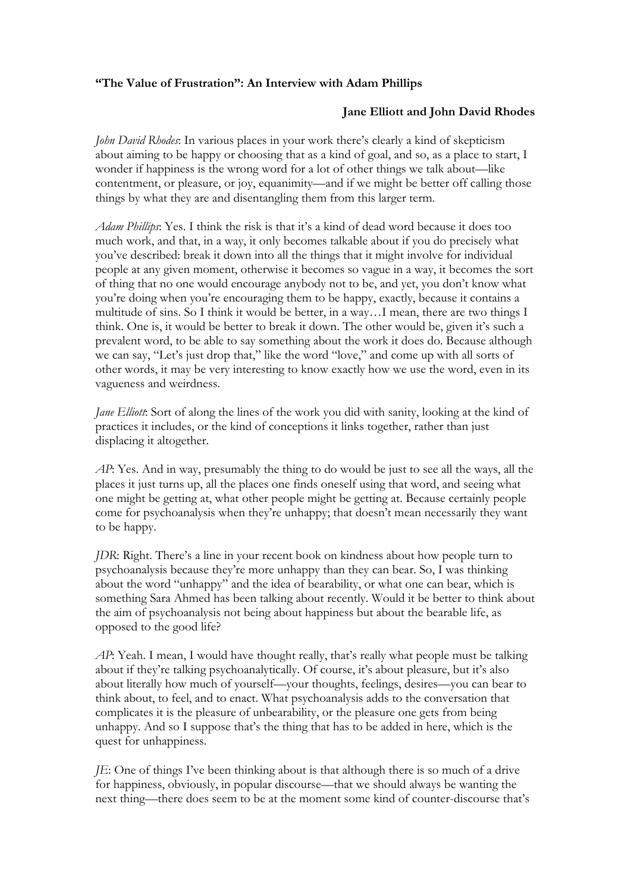## **"The Value of Frustration": An Interview with Adam Phillips**

## **Jane Elliott and John David Rhodes**

*John David Rhodes*: In various places in your work there's clearly a kind of skepticism about aiming to be happy or choosing that as a kind of goal, and so, as a place to start, I wonder if happiness is the wrong word for a lot of other things we talk about—like contentment, or pleasure, or joy, equanimity—and if we might be better off calling those things by what they are and disentangling them from this larger term.

*Adam Phillips*: Yes. I think the risk is that it's a kind of dead word because it does too much work, and that, in a way, it only becomes talkable about if you do precisely what you've described: break it down into all the things that it might involve for individual people at any given moment, otherwise it becomes so vague in a way, it becomes the sort of thing that no one would encourage anybody not to be, and yet, you don't know what you're doing when you're encouraging them to be happy, exactly, because it contains a multitude of sins. So I think it would be better, in a way…I mean, there are two things I think. One is, it would be better to break it down. The other would be, given it's such a prevalent word, to be able to say something about the work it does do. Because although we can say, "Let's just drop that," like the word "love," and come up with all sorts of other words, it may be very interesting to know exactly how we use the word, even in its vagueness and weirdness.

*Jane Elliott*: Sort of along the lines of the work you did with sanity, looking at the kind of practices it includes, or the kind of conceptions it links together, rather than just displacing it altogether.

*AP*: Yes. And in way, presumably the thing to do would be just to see all the ways, all the places it just turns up, all the places one finds oneself using that word, and seeing what one might be getting at, what other people might be getting at. Because certainly people come for psychoanalysis when they're unhappy; that doesn't mean necessarily they want to be happy.

*JDR*: Right. There's a line in your recent book on kindness about how people turn to psychoanalysis because they're more unhappy than they can bear. So, I was thinking about the word "unhappy" and the idea of bearability, or what one can bear, which is something Sara Ahmed has been talking about recently. Would it be better to think about the aim of psychoanalysis not being about happiness but about the bearable life, as opposed to the good life?

*AP*: Yeah. I mean, I would have thought really, that's really what people must be talking about if they're talking psychoanalytically. Of course, it's about pleasure, but it's also about literally how much of yourself—your thoughts, feelings, desires—you can bear to think about, to feel, and to enact. What psychoanalysis adds to the conversation that complicates it is the pleasure of unbearability, or the pleasure one gets from being unhappy. And so I suppose that's the thing that has to be added in here, which is the quest for unhappiness.

*JE*: One of things I've been thinking about is that although there is so much of a drive for happiness, obviously, in popular discourse—that we should always be wanting the next thing—there does seem to be at the moment some kind of counter-discourse that's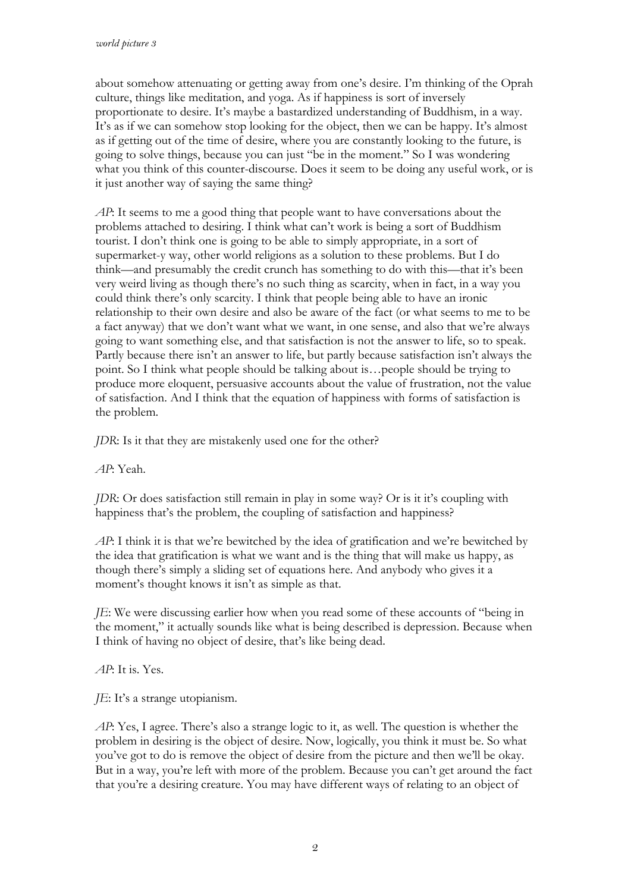about somehow attenuating or getting away from one's desire. I'm thinking of the Oprah culture, things like meditation, and yoga. As if happiness is sort of inversely proportionate to desire. It's maybe a bastardized understanding of Buddhism, in a way. It's as if we can somehow stop looking for the object, then we can be happy. It's almost as if getting out of the time of desire, where you are constantly looking to the future, is going to solve things, because you can just "be in the moment." So I was wondering what you think of this counter-discourse. Does it seem to be doing any useful work, or is it just another way of saying the same thing?

*AP*: It seems to me a good thing that people want to have conversations about the problems attached to desiring. I think what can't work is being a sort of Buddhism tourist. I don't think one is going to be able to simply appropriate, in a sort of supermarket-y way, other world religions as a solution to these problems. But I do think—and presumably the credit crunch has something to do with this—that it's been very weird living as though there's no such thing as scarcity, when in fact, in a way you could think there's only scarcity. I think that people being able to have an ironic relationship to their own desire and also be aware of the fact (or what seems to me to be a fact anyway) that we don't want what we want, in one sense, and also that we're always going to want something else, and that satisfaction is not the answer to life, so to speak. Partly because there isn't an answer to life, but partly because satisfaction isn't always the point. So I think what people should be talking about is…people should be trying to produce more eloquent, persuasive accounts about the value of frustration, not the value of satisfaction. And I think that the equation of happiness with forms of satisfaction is the problem.

*JDR*: Is it that they are mistakenly used one for the other?

*AP*: Yeah.

*JDR*: Or does satisfaction still remain in play in some way? Or is it it's coupling with happiness that's the problem, the coupling of satisfaction and happiness?

*AP*: I think it is that we're bewitched by the idea of gratification and we're bewitched by the idea that gratification is what we want and is the thing that will make us happy, as though there's simply a sliding set of equations here. And anybody who gives it a moment's thought knows it isn't as simple as that.

*JE*: We were discussing earlier how when you read some of these accounts of "being in the moment," it actually sounds like what is being described is depression. Because when I think of having no object of desire, that's like being dead.

## *AP*: It is. Yes.

*JE*: It's a strange utopianism.

*AP*: Yes, I agree. There's also a strange logic to it, as well. The question is whether the problem in desiring is the object of desire. Now, logically, you think it must be. So what you've got to do is remove the object of desire from the picture and then we'll be okay. But in a way, you're left with more of the problem. Because you can't get around the fact that you're a desiring creature. You may have different ways of relating to an object of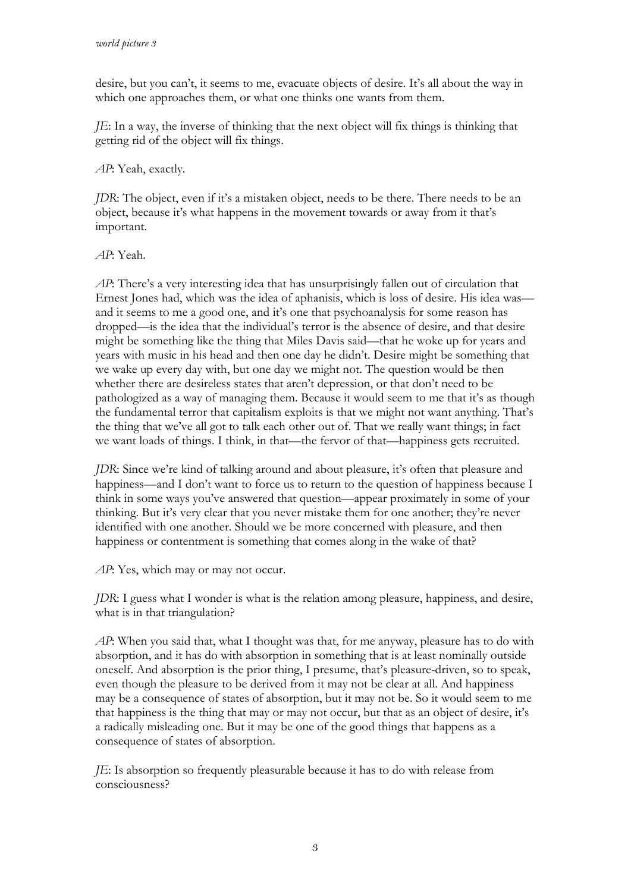desire, but you can't, it seems to me, evacuate objects of desire. It's all about the way in which one approaches them, or what one thinks one wants from them.

*JE*: In a way, the inverse of thinking that the next object will fix things is thinking that getting rid of the object will fix things.

*AP*: Yeah, exactly.

*JDR*: The object, even if it's a mistaken object, needs to be there. There needs to be an object, because it's what happens in the movement towards or away from it that's important.

*AP*: Yeah.

*AP*: There's a very interesting idea that has unsurprisingly fallen out of circulation that Ernest Jones had, which was the idea of aphanisis, which is loss of desire. His idea was and it seems to me a good one, and it's one that psychoanalysis for some reason has dropped—is the idea that the individual's terror is the absence of desire, and that desire might be something like the thing that Miles Davis said—that he woke up for years and years with music in his head and then one day he didn't. Desire might be something that we wake up every day with, but one day we might not. The question would be then whether there are desireless states that aren't depression, or that don't need to be pathologized as a way of managing them. Because it would seem to me that it's as though the fundamental terror that capitalism exploits is that we might not want anything. That's the thing that we've all got to talk each other out of. That we really want things; in fact we want loads of things. I think, in that—the fervor of that—happiness gets recruited.

*JDR*: Since we're kind of talking around and about pleasure, it's often that pleasure and happiness—and I don't want to force us to return to the question of happiness because I think in some ways you've answered that question—appear proximately in some of your thinking. But it's very clear that you never mistake them for one another; they're never identified with one another. Should we be more concerned with pleasure, and then happiness or contentment is something that comes along in the wake of that?

*AP*: Yes, which may or may not occur.

*JDR*: I guess what I wonder is what is the relation among pleasure, happiness, and desire, what is in that triangulation?

*AP*: When you said that, what I thought was that, for me anyway, pleasure has to do with absorption, and it has do with absorption in something that is at least nominally outside oneself. And absorption is the prior thing, I presume, that's pleasure-driven, so to speak, even though the pleasure to be derived from it may not be clear at all. And happiness may be a consequence of states of absorption, but it may not be. So it would seem to me that happiness is the thing that may or may not occur, but that as an object of desire, it's a radically misleading one. But it may be one of the good things that happens as a consequence of states of absorption.

*JE*: Is absorption so frequently pleasurable because it has to do with release from consciousness?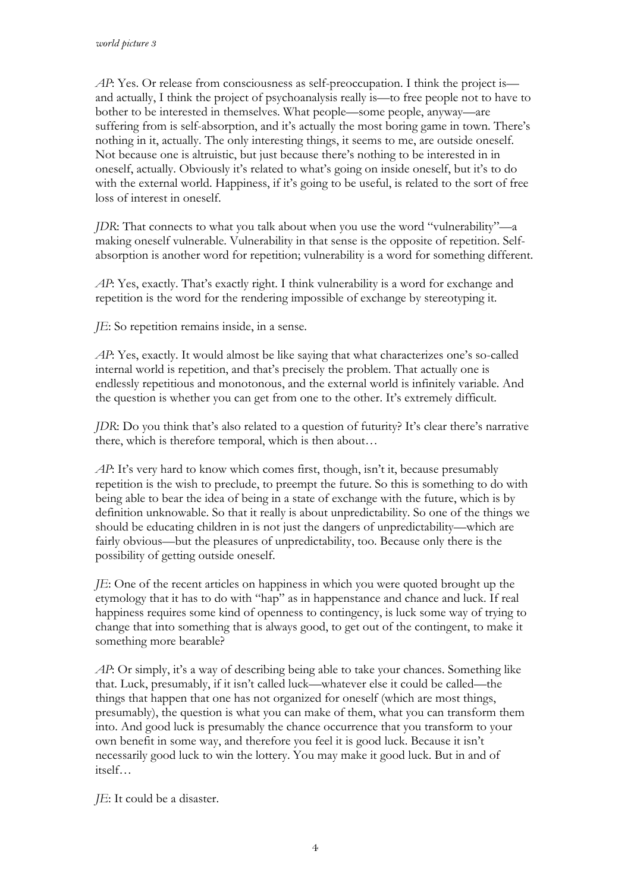*AP*: Yes. Or release from consciousness as self-preoccupation. I think the project is and actually, I think the project of psychoanalysis really is—to free people not to have to bother to be interested in themselves. What people—some people, anyway—are suffering from is self-absorption, and it's actually the most boring game in town. There's nothing in it, actually. The only interesting things, it seems to me, are outside oneself. Not because one is altruistic, but just because there's nothing to be interested in in oneself, actually. Obviously it's related to what's going on inside oneself, but it's to do with the external world. Happiness, if it's going to be useful, is related to the sort of free loss of interest in oneself.

*JDR*: That connects to what you talk about when you use the word "vulnerability"—a making oneself vulnerable. Vulnerability in that sense is the opposite of repetition. Selfabsorption is another word for repetition; vulnerability is a word for something different.

*AP*: Yes, exactly. That's exactly right. I think vulnerability is a word for exchange and repetition is the word for the rendering impossible of exchange by stereotyping it.

*JE*: So repetition remains inside, in a sense.

*AP*: Yes, exactly. It would almost be like saying that what characterizes one's so-called internal world is repetition, and that's precisely the problem. That actually one is endlessly repetitious and monotonous, and the external world is infinitely variable. And the question is whether you can get from one to the other. It's extremely difficult.

*JDR*: Do you think that's also related to a question of futurity? It's clear there's narrative there, which is therefore temporal, which is then about…

*AP*: It's very hard to know which comes first, though, isn't it, because presumably repetition is the wish to preclude, to preempt the future. So this is something to do with being able to bear the idea of being in a state of exchange with the future, which is by definition unknowable. So that it really is about unpredictability. So one of the things we should be educating children in is not just the dangers of unpredictability—which are fairly obvious—but the pleasures of unpredictability, too. Because only there is the possibility of getting outside oneself.

*JE*: One of the recent articles on happiness in which you were quoted brought up the etymology that it has to do with "hap" as in happenstance and chance and luck. If real happiness requires some kind of openness to contingency, is luck some way of trying to change that into something that is always good, to get out of the contingent, to make it something more bearable?

*AP*: Or simply, it's a way of describing being able to take your chances. Something like that. Luck, presumably, if it isn't called luck—whatever else it could be called—the things that happen that one has not organized for oneself (which are most things, presumably), the question is what you can make of them, what you can transform them into. And good luck is presumably the chance occurrence that you transform to your own benefit in some way, and therefore you feel it is good luck. Because it isn't necessarily good luck to win the lottery. You may make it good luck. But in and of itself…

*JE*: It could be a disaster.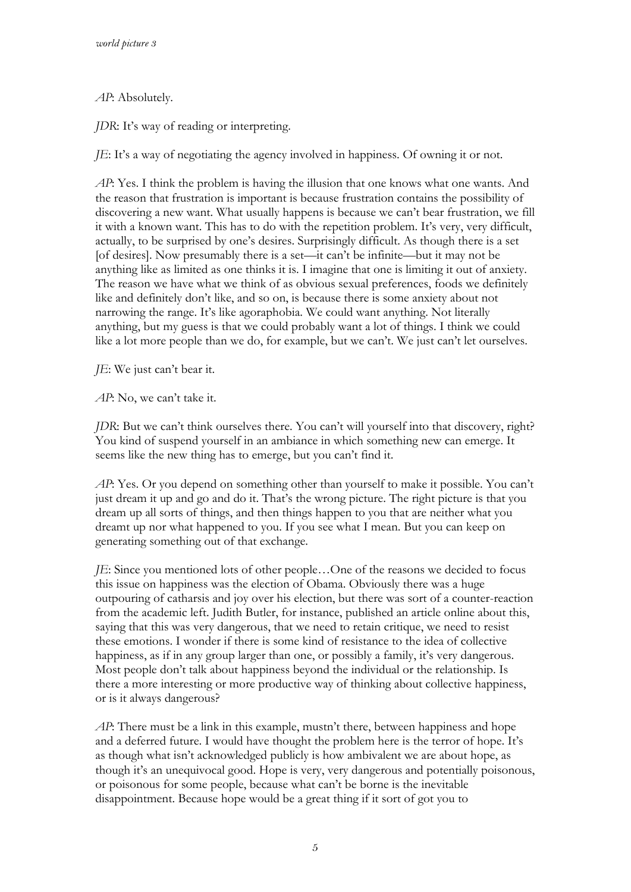*AP*: Absolutely.

*JDR*: It's way of reading or interpreting.

*JE*: It's a way of negotiating the agency involved in happiness. Of owning it or not.

*AP*: Yes. I think the problem is having the illusion that one knows what one wants. And the reason that frustration is important is because frustration contains the possibility of discovering a new want. What usually happens is because we can't bear frustration, we fill it with a known want. This has to do with the repetition problem. It's very, very difficult, actually, to be surprised by one's desires. Surprisingly difficult. As though there is a set [of desires]. Now presumably there is a set—it can't be infinite—but it may not be anything like as limited as one thinks it is. I imagine that one is limiting it out of anxiety. The reason we have what we think of as obvious sexual preferences, foods we definitely like and definitely don't like, and so on, is because there is some anxiety about not narrowing the range. It's like agoraphobia. We could want anything. Not literally anything, but my guess is that we could probably want a lot of things. I think we could like a lot more people than we do, for example, but we can't. We just can't let ourselves.

*JE*: We just can't bear it.

*AP*: No, we can't take it.

*JDR*: But we can't think ourselves there. You can't will yourself into that discovery, right? You kind of suspend yourself in an ambiance in which something new can emerge. It seems like the new thing has to emerge, but you can't find it.

*AP*: Yes. Or you depend on something other than yourself to make it possible. You can't just dream it up and go and do it. That's the wrong picture. The right picture is that you dream up all sorts of things, and then things happen to you that are neither what you dreamt up nor what happened to you. If you see what I mean. But you can keep on generating something out of that exchange.

*JE*: Since you mentioned lots of other people…One of the reasons we decided to focus this issue on happiness was the election of Obama. Obviously there was a huge outpouring of catharsis and joy over his election, but there was sort of a counter-reaction from the academic left. Judith Butler, for instance, published an article online about this, saying that this was very dangerous, that we need to retain critique, we need to resist these emotions. I wonder if there is some kind of resistance to the idea of collective happiness, as if in any group larger than one, or possibly a family, it's very dangerous. Most people don't talk about happiness beyond the individual or the relationship. Is there a more interesting or more productive way of thinking about collective happiness, or is it always dangerous?

*AP*: There must be a link in this example, mustn't there, between happiness and hope and a deferred future. I would have thought the problem here is the terror of hope. It's as though what isn't acknowledged publicly is how ambivalent we are about hope, as though it's an unequivocal good. Hope is very, very dangerous and potentially poisonous, or poisonous for some people, because what can't be borne is the inevitable disappointment. Because hope would be a great thing if it sort of got you to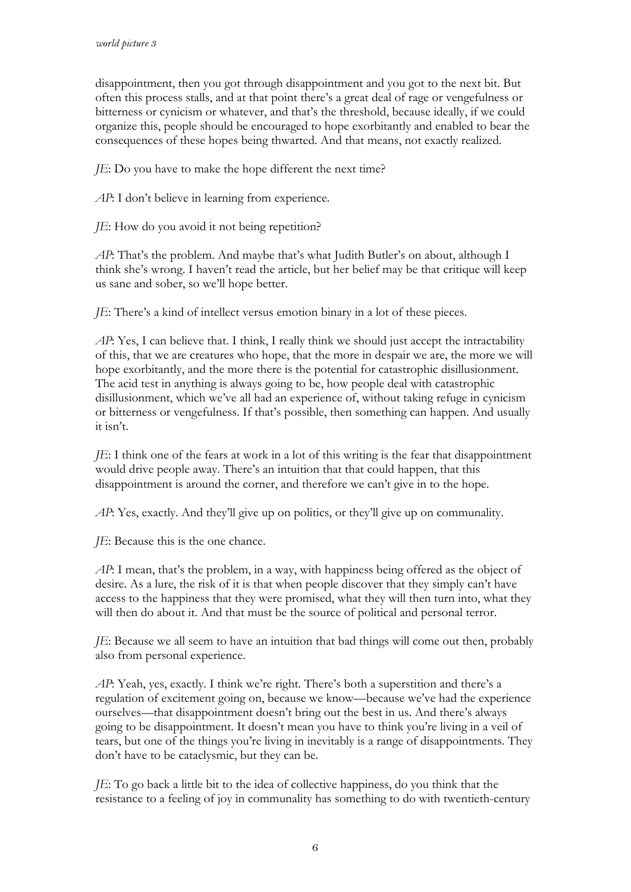disappointment, then you got through disappointment and you got to the next bit. But often this process stalls, and at that point there's a great deal of rage or vengefulness or bitterness or cynicism or whatever, and that's the threshold, because ideally, if we could organize this, people should be encouraged to hope exorbitantly and enabled to bear the consequences of these hopes being thwarted. And that means, not exactly realized.

*JE*: Do you have to make the hope different the next time?

*AP*: I don't believe in learning from experience.

*JE*: How do you avoid it not being repetition?

*AP*: That's the problem. And maybe that's what Judith Butler's on about, although I think she's wrong. I haven't read the article, but her belief may be that critique will keep us sane and sober, so we'll hope better.

*JE*: There's a kind of intellect versus emotion binary in a lot of these pieces.

*AP*: Yes, I can believe that. I think, I really think we should just accept the intractability of this, that we are creatures who hope, that the more in despair we are, the more we will hope exorbitantly, and the more there is the potential for catastrophic disillusionment. The acid test in anything is always going to be, how people deal with catastrophic disillusionment, which we've all had an experience of, without taking refuge in cynicism or bitterness or vengefulness. If that's possible, then something can happen. And usually it isn't.

*JE*: I think one of the fears at work in a lot of this writing is the fear that disappointment would drive people away. There's an intuition that that could happen, that this disappointment is around the corner, and therefore we can't give in to the hope.

*AP*: Yes, exactly. And they'll give up on politics, or they'll give up on communality.

*JE*: Because this is the one chance.

*AP*: I mean, that's the problem, in a way, with happiness being offered as the object of desire. As a lure, the risk of it is that when people discover that they simply can't have access to the happiness that they were promised, what they will then turn into, what they will then do about it. And that must be the source of political and personal terror.

*JE*: Because we all seem to have an intuition that bad things will come out then, probably also from personal experience.

*AP*: Yeah, yes, exactly. I think we're right. There's both a superstition and there's a regulation of excitement going on, because we know—because we've had the experience ourselves—that disappointment doesn't bring out the best in us. And there's always going to be disappointment. It doesn't mean you have to think you're living in a veil of tears, but one of the things you're living in inevitably is a range of disappointments. They don't have to be cataclysmic, but they can be.

*JE*: To go back a little bit to the idea of collective happiness, do you think that the resistance to a feeling of joy in communality has something to do with twentieth-century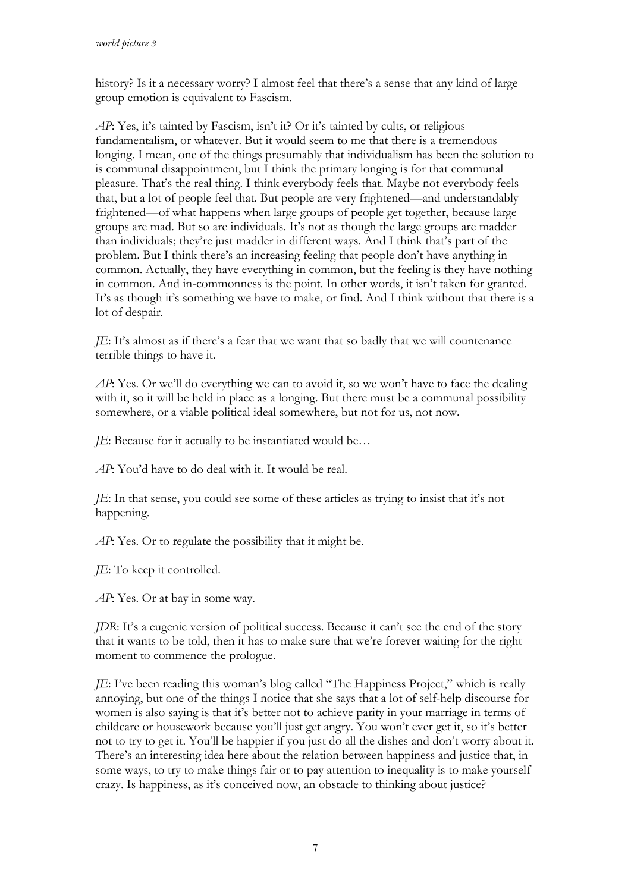history? Is it a necessary worry? I almost feel that there's a sense that any kind of large group emotion is equivalent to Fascism.

*AP*: Yes, it's tainted by Fascism, isn't it? Or it's tainted by cults, or religious fundamentalism, or whatever. But it would seem to me that there is a tremendous longing. I mean, one of the things presumably that individualism has been the solution to is communal disappointment, but I think the primary longing is for that communal pleasure. That's the real thing. I think everybody feels that. Maybe not everybody feels that, but a lot of people feel that. But people are very frightened—and understandably frightened—of what happens when large groups of people get together, because large groups are mad. But so are individuals. It's not as though the large groups are madder than individuals; they're just madder in different ways. And I think that's part of the problem. But I think there's an increasing feeling that people don't have anything in common. Actually, they have everything in common, but the feeling is they have nothing in common. And in-commonness is the point. In other words, it isn't taken for granted. It's as though it's something we have to make, or find. And I think without that there is a lot of despair.

*JE*: It's almost as if there's a fear that we want that so badly that we will countenance terrible things to have it.

*AP*: Yes. Or we'll do everything we can to avoid it, so we won't have to face the dealing with it, so it will be held in place as a longing. But there must be a communal possibility somewhere, or a viable political ideal somewhere, but not for us, not now.

*JE*: Because for it actually to be instantiated would be…

*AP*: You'd have to do deal with it. It would be real.

*JE*: In that sense, you could see some of these articles as trying to insist that it's not happening.

*AP*: Yes. Or to regulate the possibility that it might be.

*JE*: To keep it controlled.

*AP*: Yes. Or at bay in some way.

*JDR*: It's a eugenic version of political success. Because it can't see the end of the story that it wants to be told, then it has to make sure that we're forever waiting for the right moment to commence the prologue.

*JE*: I've been reading this woman's blog called "The Happiness Project," which is really annoying, but one of the things I notice that she says that a lot of self-help discourse for women is also saying is that it's better not to achieve parity in your marriage in terms of childcare or housework because you'll just get angry. You won't ever get it, so it's better not to try to get it. You'll be happier if you just do all the dishes and don't worry about it. There's an interesting idea here about the relation between happiness and justice that, in some ways, to try to make things fair or to pay attention to inequality is to make yourself crazy. Is happiness, as it's conceived now, an obstacle to thinking about justice?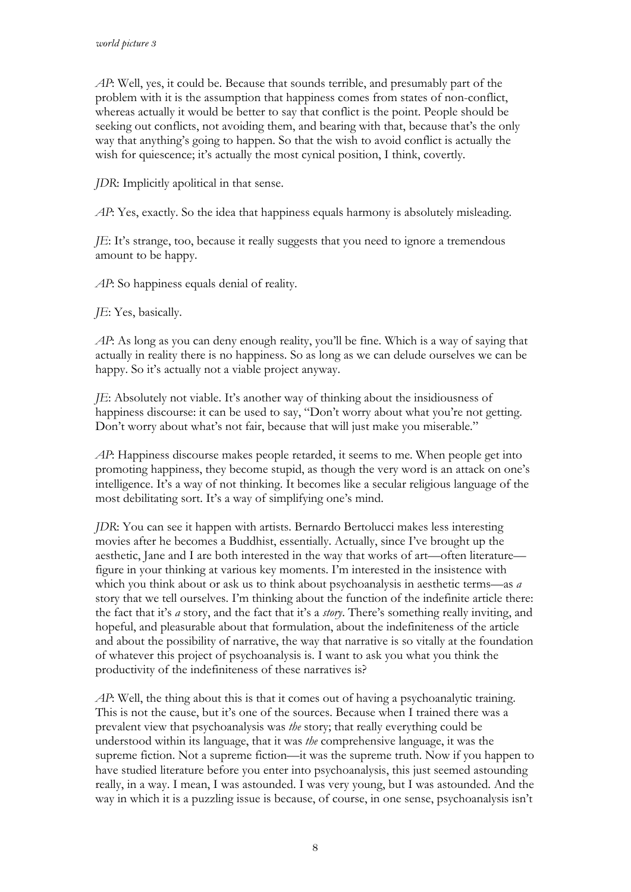*AP*: Well, yes, it could be. Because that sounds terrible, and presumably part of the problem with it is the assumption that happiness comes from states of non-conflict, whereas actually it would be better to say that conflict is the point. People should be seeking out conflicts, not avoiding them, and bearing with that, because that's the only way that anything's going to happen. So that the wish to avoid conflict is actually the wish for quiescence; it's actually the most cynical position, I think, covertly.

*JDR*: Implicitly apolitical in that sense.

*AP*: Yes, exactly. So the idea that happiness equals harmony is absolutely misleading.

*JE*: It's strange, too, because it really suggests that you need to ignore a tremendous amount to be happy.

*AP*: So happiness equals denial of reality.

*JE*: Yes, basically.

*AP*: As long as you can deny enough reality, you'll be fine. Which is a way of saying that actually in reality there is no happiness. So as long as we can delude ourselves we can be happy. So it's actually not a viable project anyway.

*JE*: Absolutely not viable. It's another way of thinking about the insidiousness of happiness discourse: it can be used to say, "Don't worry about what you're not getting. Don't worry about what's not fair, because that will just make you miserable."

*AP*: Happiness discourse makes people retarded, it seems to me. When people get into promoting happiness, they become stupid, as though the very word is an attack on one's intelligence. It's a way of not thinking. It becomes like a secular religious language of the most debilitating sort. It's a way of simplifying one's mind.

*JDR*: You can see it happen with artists. Bernardo Bertolucci makes less interesting movies after he becomes a Buddhist, essentially. Actually, since I've brought up the aesthetic, Jane and I are both interested in the way that works of art—often literature figure in your thinking at various key moments. I'm interested in the insistence with which you think about or ask us to think about psychoanalysis in aesthetic terms—as *a* story that we tell ourselves. I'm thinking about the function of the indefinite article there: the fact that it's *a* story, and the fact that it's a *story*. There's something really inviting, and hopeful, and pleasurable about that formulation, about the indefiniteness of the article and about the possibility of narrative, the way that narrative is so vitally at the foundation of whatever this project of psychoanalysis is. I want to ask you what you think the productivity of the indefiniteness of these narratives is?

*AP*: Well, the thing about this is that it comes out of having a psychoanalytic training. This is not the cause, but it's one of the sources. Because when I trained there was a prevalent view that psychoanalysis was *the* story; that really everything could be understood within its language, that it was *the* comprehensive language, it was the supreme fiction. Not a supreme fiction—it was the supreme truth. Now if you happen to have studied literature before you enter into psychoanalysis, this just seemed astounding really, in a way. I mean, I was astounded. I was very young, but I was astounded. And the way in which it is a puzzling issue is because, of course, in one sense, psychoanalysis isn't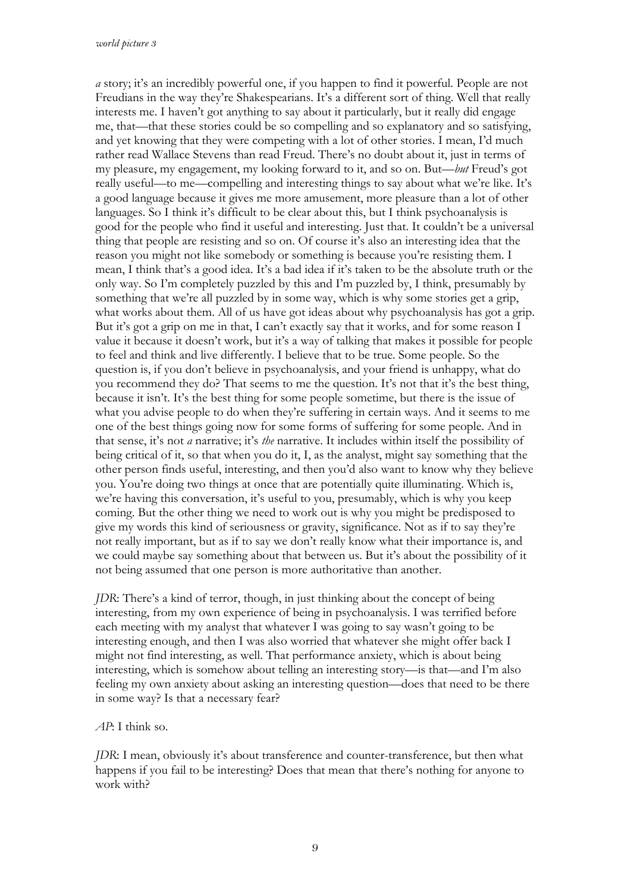*a* story; it's an incredibly powerful one, if you happen to find it powerful. People are not Freudians in the way they're Shakespearians. It's a different sort of thing. Well that really interests me. I haven't got anything to say about it particularly, but it really did engage me, that—that these stories could be so compelling and so explanatory and so satisfying, and yet knowing that they were competing with a lot of other stories. I mean, I'd much rather read Wallace Stevens than read Freud. There's no doubt about it, just in terms of my pleasure, my engagement, my looking forward to it, and so on. But—*but* Freud's got really useful—to me—compelling and interesting things to say about what we're like. It's a good language because it gives me more amusement, more pleasure than a lot of other languages. So I think it's difficult to be clear about this, but I think psychoanalysis is good for the people who find it useful and interesting. Just that. It couldn't be a universal thing that people are resisting and so on. Of course it's also an interesting idea that the reason you might not like somebody or something is because you're resisting them. I mean, I think that's a good idea. It's a bad idea if it's taken to be the absolute truth or the only way. So I'm completely puzzled by this and I'm puzzled by, I think, presumably by something that we're all puzzled by in some way, which is why some stories get a grip, what works about them. All of us have got ideas about why psychoanalysis has got a grip. But it's got a grip on me in that, I can't exactly say that it works, and for some reason I value it because it doesn't work, but it's a way of talking that makes it possible for people to feel and think and live differently. I believe that to be true. Some people. So the question is, if you don't believe in psychoanalysis, and your friend is unhappy, what do you recommend they do? That seems to me the question. It's not that it's the best thing, because it isn't. It's the best thing for some people sometime, but there is the issue of what you advise people to do when they're suffering in certain ways. And it seems to me one of the best things going now for some forms of suffering for some people. And in that sense, it's not *a* narrative; it's *the* narrative. It includes within itself the possibility of being critical of it, so that when you do it, I, as the analyst, might say something that the other person finds useful, interesting, and then you'd also want to know why they believe you. You're doing two things at once that are potentially quite illuminating. Which is, we're having this conversation, it's useful to you, presumably, which is why you keep coming. But the other thing we need to work out is why you might be predisposed to give my words this kind of seriousness or gravity, significance. Not as if to say they're not really important, but as if to say we don't really know what their importance is, and we could maybe say something about that between us. But it's about the possibility of it not being assumed that one person is more authoritative than another.

*JDR*: There's a kind of terror, though, in just thinking about the concept of being interesting, from my own experience of being in psychoanalysis. I was terrified before each meeting with my analyst that whatever I was going to say wasn't going to be interesting enough, and then I was also worried that whatever she might offer back I might not find interesting, as well. That performance anxiety, which is about being interesting, which is somehow about telling an interesting story—is that—and I'm also feeling my own anxiety about asking an interesting question—does that need to be there in some way? Is that a necessary fear?

*AP*: I think so.

*JDR*: I mean, obviously it's about transference and counter-transference, but then what happens if you fail to be interesting? Does that mean that there's nothing for anyone to work with?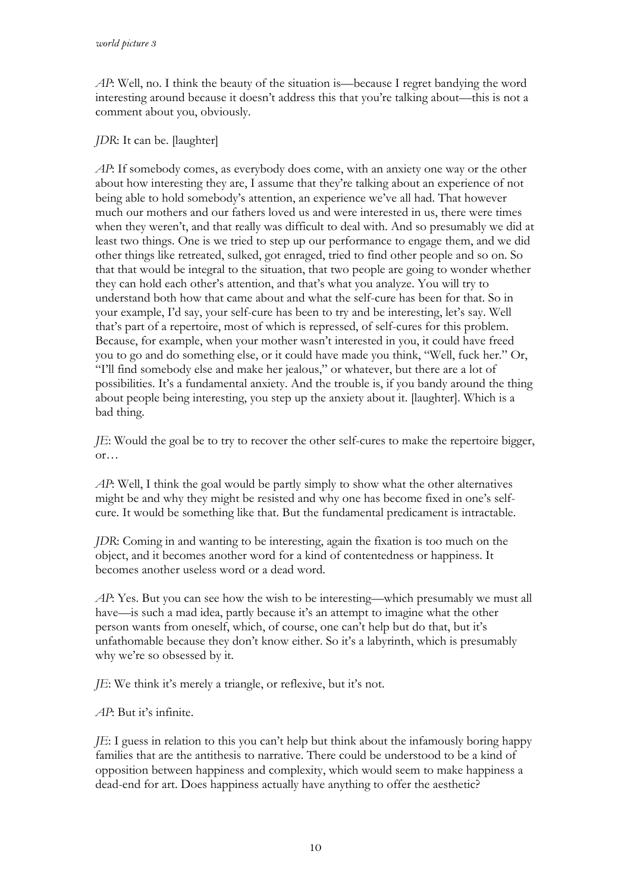*AP*: Well, no. I think the beauty of the situation is—because I regret bandying the word interesting around because it doesn't address this that you're talking about—this is not a comment about you, obviously.

## *JDR*: It can be. [laughter]

*AP*: If somebody comes, as everybody does come, with an anxiety one way or the other about how interesting they are, I assume that they're talking about an experience of not being able to hold somebody's attention, an experience we've all had. That however much our mothers and our fathers loved us and were interested in us, there were times when they weren't, and that really was difficult to deal with. And so presumably we did at least two things. One is we tried to step up our performance to engage them, and we did other things like retreated, sulked, got enraged, tried to find other people and so on. So that that would be integral to the situation, that two people are going to wonder whether they can hold each other's attention, and that's what you analyze. You will try to understand both how that came about and what the self-cure has been for that. So in your example, I'd say, your self-cure has been to try and be interesting, let's say. Well that's part of a repertoire, most of which is repressed, of self-cures for this problem. Because, for example, when your mother wasn't interested in you, it could have freed you to go and do something else, or it could have made you think, "Well, fuck her." Or, "I'll find somebody else and make her jealous," or whatever, but there are a lot of possibilities. It's a fundamental anxiety. And the trouble is, if you bandy around the thing about people being interesting, you step up the anxiety about it. [laughter]. Which is a bad thing.

*JE*: Would the goal be to try to recover the other self-cures to make the repertoire bigger, or…

*AP*: Well, I think the goal would be partly simply to show what the other alternatives might be and why they might be resisted and why one has become fixed in one's selfcure. It would be something like that. But the fundamental predicament is intractable.

*JDR*: Coming in and wanting to be interesting, again the fixation is too much on the object, and it becomes another word for a kind of contentedness or happiness. It becomes another useless word or a dead word.

*AP*: Yes. But you can see how the wish to be interesting—which presumably we must all have—is such a mad idea, partly because it's an attempt to imagine what the other person wants from oneself, which, of course, one can't help but do that, but it's unfathomable because they don't know either. So it's a labyrinth, which is presumably why we're so obsessed by it.

*JE*: We think it's merely a triangle, or reflexive, but it's not.

*AP*: But it's infinite.

*JE*: I guess in relation to this you can't help but think about the infamously boring happy families that are the antithesis to narrative. There could be understood to be a kind of opposition between happiness and complexity, which would seem to make happiness a dead-end for art. Does happiness actually have anything to offer the aesthetic?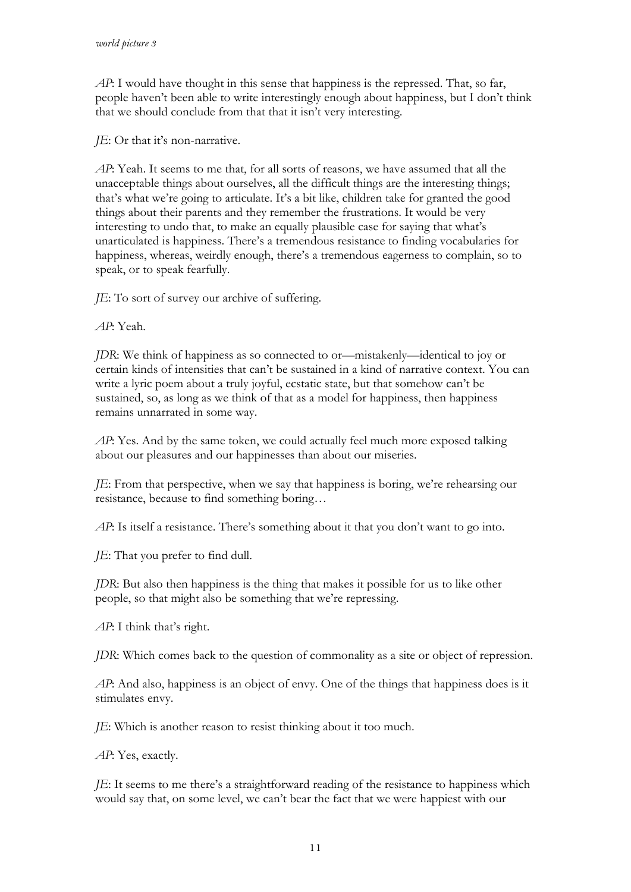*AP*: I would have thought in this sense that happiness is the repressed. That, so far, people haven't been able to write interestingly enough about happiness, but I don't think that we should conclude from that that it isn't very interesting.

*JE*: Or that it's non-narrative.

*AP*: Yeah. It seems to me that, for all sorts of reasons, we have assumed that all the unacceptable things about ourselves, all the difficult things are the interesting things; that's what we're going to articulate. It's a bit like, children take for granted the good things about their parents and they remember the frustrations. It would be very interesting to undo that, to make an equally plausible case for saying that what's unarticulated is happiness. There's a tremendous resistance to finding vocabularies for happiness, whereas, weirdly enough, there's a tremendous eagerness to complain, so to speak, or to speak fearfully.

*JE*: To sort of survey our archive of suffering.

*AP*: Yeah.

*JDR*: We think of happiness as so connected to or—mistakenly—identical to joy or certain kinds of intensities that can't be sustained in a kind of narrative context. You can write a lyric poem about a truly joyful, ecstatic state, but that somehow can't be sustained, so, as long as we think of that as a model for happiness, then happiness remains unnarrated in some way.

*AP*: Yes. And by the same token, we could actually feel much more exposed talking about our pleasures and our happinesses than about our miseries.

*JE*: From that perspective, when we say that happiness is boring, we're rehearsing our resistance, because to find something boring…

*AP*: Is itself a resistance. There's something about it that you don't want to go into.

*JE*: That you prefer to find dull.

*JDR*: But also then happiness is the thing that makes it possible for us to like other people, so that might also be something that we're repressing.

*AP*: I think that's right.

*JDR*: Which comes back to the question of commonality as a site or object of repression.

*AP*: And also, happiness is an object of envy. One of the things that happiness does is it stimulates envy.

*JE*: Which is another reason to resist thinking about it too much.

*AP*: Yes, exactly.

*JE*: It seems to me there's a straightforward reading of the resistance to happiness which would say that, on some level, we can't bear the fact that we were happiest with our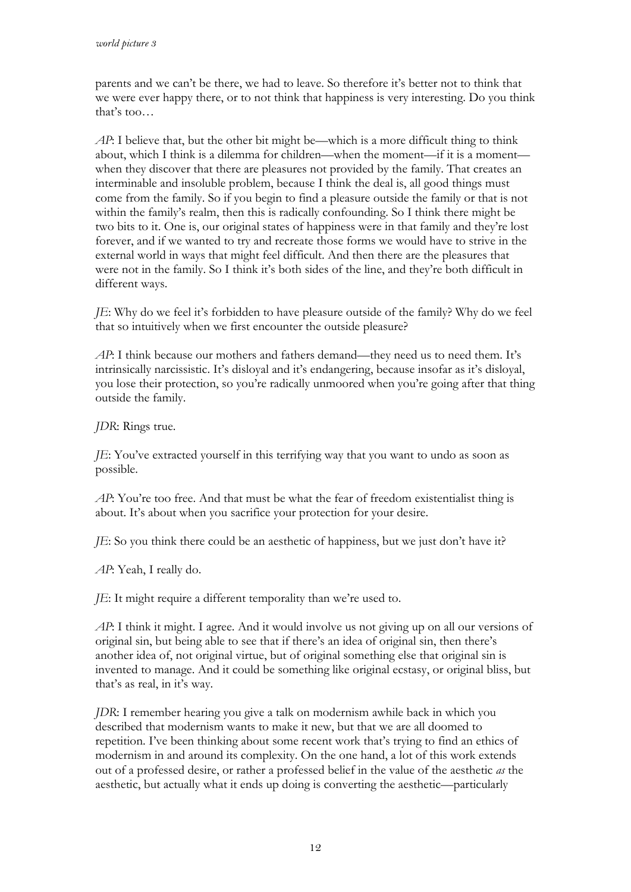parents and we can't be there, we had to leave. So therefore it's better not to think that we were ever happy there, or to not think that happiness is very interesting. Do you think that's too…

*AP*: I believe that, but the other bit might be—which is a more difficult thing to think about, which I think is a dilemma for children—when the moment—if it is a moment when they discover that there are pleasures not provided by the family. That creates an interminable and insoluble problem, because I think the deal is, all good things must come from the family. So if you begin to find a pleasure outside the family or that is not within the family's realm, then this is radically confounding. So I think there might be two bits to it. One is, our original states of happiness were in that family and they're lost forever, and if we wanted to try and recreate those forms we would have to strive in the external world in ways that might feel difficult. And then there are the pleasures that were not in the family. So I think it's both sides of the line, and they're both difficult in different ways.

*JE*: Why do we feel it's forbidden to have pleasure outside of the family? Why do we feel that so intuitively when we first encounter the outside pleasure?

*AP*: I think because our mothers and fathers demand—they need us to need them. It's intrinsically narcissistic. It's disloyal and it's endangering, because insofar as it's disloyal, you lose their protection, so you're radically unmoored when you're going after that thing outside the family.

*JDR*: Rings true.

*JE*: You've extracted yourself in this terrifying way that you want to undo as soon as possible.

*AP*: You're too free. And that must be what the fear of freedom existentialist thing is about. It's about when you sacrifice your protection for your desire.

*JE*: So you think there could be an aesthetic of happiness, but we just don't have it?

*AP*: Yeah, I really do.

*JE*: It might require a different temporality than we're used to.

*AP*: I think it might. I agree. And it would involve us not giving up on all our versions of original sin, but being able to see that if there's an idea of original sin, then there's another idea of, not original virtue, but of original something else that original sin is invented to manage. And it could be something like original ecstasy, or original bliss, but that's as real, in it's way.

*JDR*: I remember hearing you give a talk on modernism awhile back in which you described that modernism wants to make it new, but that we are all doomed to repetition. I've been thinking about some recent work that's trying to find an ethics of modernism in and around its complexity. On the one hand, a lot of this work extends out of a professed desire, or rather a professed belief in the value of the aesthetic *as* the aesthetic, but actually what it ends up doing is converting the aesthetic—particularly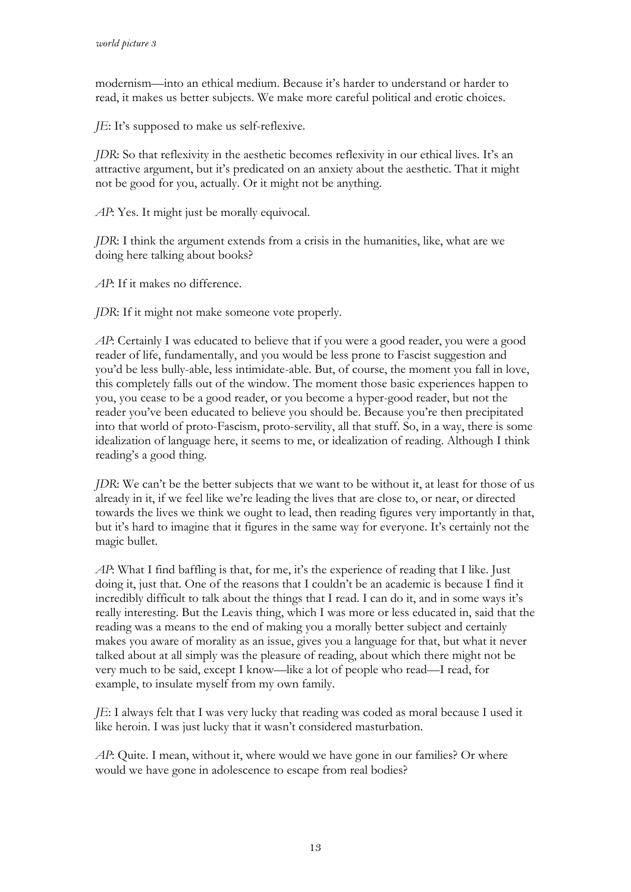modernism—into an ethical medium. Because it's harder to understand or harder to read, it makes us better subjects. We make more careful political and erotic choices.

*JE*: It's supposed to make us self-reflexive.

*JDR*: So that reflexivity in the aesthetic becomes reflexivity in our ethical lives. It's an attractive argument, but it's predicated on an anxiety about the aesthetic. That it might not be good for you, actually. Or it might not be anything.

*AP*: Yes. It might just be morally equivocal.

*JDR*: I think the argument extends from a crisis in the humanities, like, what are we doing here talking about books?

*AP*: If it makes no difference.

*JDR*: If it might not make someone vote properly.

*AP*: Certainly I was educated to believe that if you were a good reader, you were a good reader of life, fundamentally, and you would be less prone to Fascist suggestion and you'd be less bully-able, less intimidate-able. But, of course, the moment you fall in love, this completely falls out of the window. The moment those basic experiences happen to you, you cease to be a good reader, or you become a hyper-good reader, but not the reader you've been educated to believe you should be. Because you're then precipitated into that world of proto-Fascism, proto-servility, all that stuff. So, in a way, there is some idealization of language here, it seems to me, or idealization of reading. Although I think reading's a good thing.

*JDR*: We can't be the better subjects that we want to be without it, at least for those of us already in it, if we feel like we're leading the lives that are close to, or near, or directed towards the lives we think we ought to lead, then reading figures very importantly in that, but it's hard to imagine that it figures in the same way for everyone. It's certainly not the magic bullet.

*AP*: What I find baffling is that, for me, it's the experience of reading that I like. Just doing it, just that. One of the reasons that I couldn't be an academic is because I find it incredibly difficult to talk about the things that I read. I can do it, and in some ways it's really interesting. But the Leavis thing, which I was more or less educated in, said that the reading was a means to the end of making you a morally better subject and certainly makes you aware of morality as an issue, gives you a language for that, but what it never talked about at all simply was the pleasure of reading, about which there might not be very much to be said, except I know—like a lot of people who read—I read, for example, to insulate myself from my own family.

*JE*: I always felt that I was very lucky that reading was coded as moral because I used it like heroin. I was just lucky that it wasn't considered masturbation.

*AP*: Quite. I mean, without it, where would we have gone in our families? Or where would we have gone in adolescence to escape from real bodies?